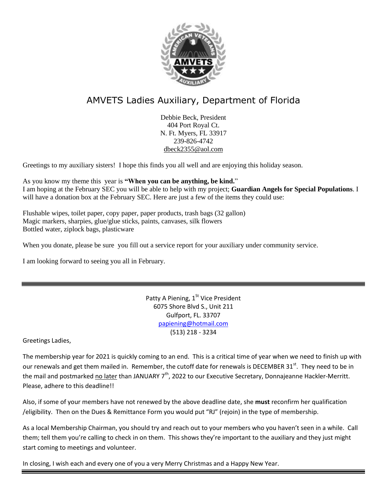

# AMVETS Ladies Auxiliary, Department of Florida

Debbie Beck, President 404 Port Royal Ct. N. Ft. Myers, FL 33917 239-826-4742 [dbeck2355@aol.com](mailto:dbeck2355@aol.com)

Greetings to my auxiliary sisters! I hope this finds you all well and are enjoying this holiday season.

As you know my theme this year is **"When you can be anything, be kind.**" I am hoping at the February SEC you will be able to help with my project; **Guardian Angels for Special Populations**. I will have a donation box at the February SEC. Here are just a few of the items they could use:

Flushable wipes, toilet paper, copy paper, paper products, trash bags (32 gallon) Magic markers, sharpies, glue/glue sticks, paints, canvases, silk flowers Bottled water, ziplock bags, plasticware

When you donate, please be sure you fill out a service report for your auxiliary under community service.

I am looking forward to seeing you all in February.

Patty A Piening,  $1<sup>St</sup>$  Vice President 6075 Shore Blvd S., Unit 211 Gulfport, FL. 33707 [papiening@hotmail.com](mailto:papiening@hotmail.com) (513) 218 - 3234

Greetings Ladies,

The membership year for 2021 is quickly coming to an end. This is a critical time of year when we need to finish up with our renewals and get them mailed in. Remember, the cutoff date for renewals is DECEMBER 31<sup>st</sup>. They need to be in the mail and postmarked no later than JANUARY  $7<sup>th</sup>$ , 2022 to our Executive Secretary, Donnajeanne Hackler-Merritt. Please, adhere to this deadline!!

Also, if some of your members have not renewed by the above deadline date, she **must** reconfirm her qualification /eligibility. Then on the Dues & Remittance Form you would put "RJ" (rejoin) in the type of membership.

As a local Membership Chairman, you should try and reach out to your members who you haven't seen in a while. Call them; tell them you're calling to check in on them. This shows they're important to the auxiliary and they just might start coming to meetings and volunteer.

In closing, I wish each and every one of you a very Merry Christmas and a Happy New Year.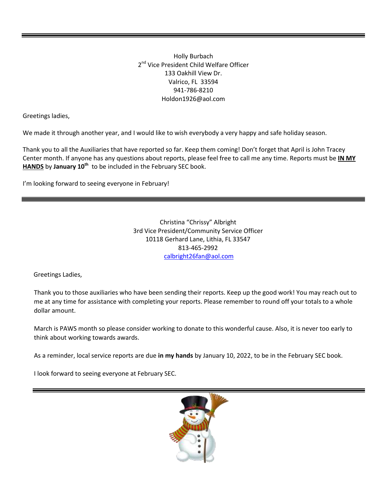Holly Burbach 2<sup>nd</sup> Vice President Child Welfare Officer 133 Oakhill View Dr. Valrico, FL 33594 941-786-8210 Holdon1926@aol.com

Greetings ladies,

We made it through another year, and I would like to wish everybody a very happy and safe holiday season.

Thank you to all the Auxiliaries that have reported so far. Keep them coming! Don't forget that April is John Tracey Center month. If anyone has any questions about reports, please feel free to call me any time. Reports must be **IN MY HANDS** by **January 10th** to be included in the February SEC book.

I'm looking forward to seeing everyone in February!

Christina "Chrissy" Albright 3rd Vice President/Community Service Officer 10118 Gerhard Lane, Lithia, FL 33547 813-465-2992 calbright26fan@aol.com

Greetings Ladies,

Thank you to those auxiliaries who have been sending their reports. Keep up the good work! You may reach out to me at any time for assistance with completing your reports. Please remember to round off your totals to a whole dollar amount.

March is PAWS month so please consider working to donate to this wonderful cause. Also, it is never too early to think about working towards awards.

As a reminder, local service reports are due **in my hands** by January 10, 2022, to be in the February SEC book.

I look forward to seeing everyone at February SEC.

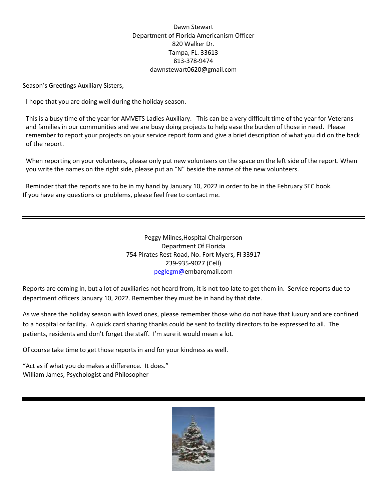## Dawn Stewart Department of Florida Americanism Officer 820 Walker Dr. Tampa, FL. 33613 813-378-9474 dawnstewart0620@gmail.com

Season's Greetings Auxiliary Sisters,

I hope that you are doing well during the holiday season.

This is a busy time of the year for AMVETS Ladies Auxiliary. This can be a very difficult time of the year for Veterans and families in our communities and we are busy doing projects to help ease the burden of those in need. Please remember to report your projects on your service report form and give a brief description of what you did on the back of the report.

When reporting on your volunteers, please only put new volunteers on the space on the left side of the report. When you write the names on the right side, please put an "N" beside the name of the new volunteers.

Reminder that the reports are to be in my hand by January 10, 2022 in order to be in the February SEC book. If you have any questions or problems, please feel free to contact me.

> Peggy Milnes,Hospital Chairperson Department Of Florida 754 Pirates Rest Road, No. Fort Myers, Fl 33917 239-935-9027 (Cell) [peglegm@e](mailto:PEGLEGM@EMBARQMAIL.COM)mbarqmail.com

Reports are coming in, but a lot of auxiliaries not heard from, it is not too late to get them in. Service reports due to department officers January 10, 2022. Remember they must be in hand by that date.

As we share the holiday season with loved ones, please remember those who do not have that luxury and are confined to a hospital or facility. A quick card sharing thanks could be sent to facility directors to be expressed to all. The patients, residents and don't forget the staff. I'm sure it would mean a lot.

Of course take time to get those reports in and for your kindness as well.

"Act as if what you do makes a difference. It does." William James, Psychologist and Philosopher

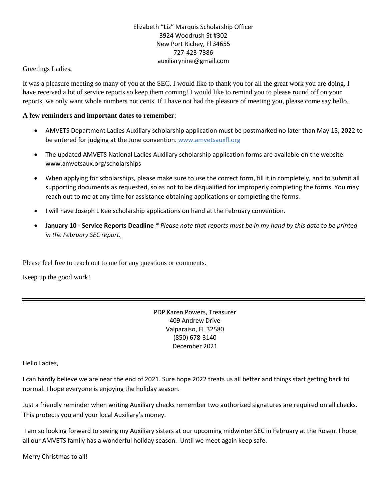## Elizabeth "Liz" Marquis Scholarship Officer 3924 Woodrush St #302 New Port Richey, Fl 34655 727-423-7386 auxiliarynine@gmail.com

## Greetings Ladies,

It was a pleasure meeting so many of you at the SEC. I would like to thank you for all the great work you are doing, I have received a lot of service reports so keep them coming! I would like to remind you to please round off on your reports, we only want whole numbers not cents. If I have not had the pleasure of meeting you, please come say hello.

## **A few reminders and important dates to remember**:

- AMVETS Department Ladies Auxiliary scholarship application must be postmarked no later than May 15, 2022 to be entered for judging at the June convention. www.amvetsauxfl.org
- The updated AMVETS National Ladies Auxiliary scholarship application forms are available on the website: [www.amvetsaux.org/scholarships](http://www.amvetsaux.org/scholarships)
- When applying for scholarships, please make sure to use the correct form, fill it in completely, and to submit all supporting documents as requested, so as not to be disqualified for improperly completing the forms. You may reach out to me at any time for assistance obtaining applications or completing the forms.
- I will have Joseph L Kee scholarship applications on hand at the February convention.
- January 10 Service Reports Deadline \* Please note that reports must be in my hand by this date to be printed *in the February SEC report.*

Please feel free to reach out to me for any questions or comments.

Keep up the good work!

PDP Karen Powers, Treasurer 409 Andrew Drive Valparaiso, FL 32580 (850) 678-3140 December 2021

Hello Ladies,

I can hardly believe we are near the end of 2021. Sure hope 2022 treats us all better and things start getting back to normal. I hope everyone is enjoying the holiday season.

Just a friendly reminder when writing Auxiliary checks remember two authorized signatures are required on all checks. This protects you and your local Auxiliary's money.

I am so looking forward to seeing my Auxiliary sisters at our upcoming midwinter SEC in February at the Rosen. I hope all our AMVETS family has a wonderful holiday season. Until we meet again keep safe.

Merry Christmas to all!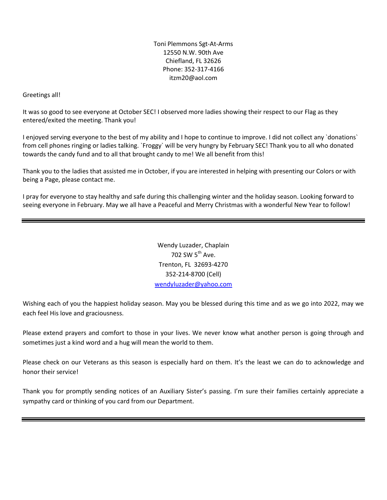Toni Plemmons Sgt-At-Arms 12550 N.W. 90th Ave Chiefland, FL 32626 Phone: 352-317-4166 itzm20@aol.com

## Greetings all!

It was so good to see everyone at October SEC! I observed more ladies showing their respect to our Flag as they entered/exited the meeting. Thank you!

I enjoyed serving everyone to the best of my ability and I hope to continue to improve. I did not collect any `donations` from cell phones ringing or ladies talking. `Froggy` will be very hungry by February SEC! Thank you to all who donated towards the candy fund and to all that brought candy to me! We all benefit from this!

Thank you to the ladies that assisted me in October, if you are interested in helping with presenting our Colors or with being a Page, please contact me.

I pray for everyone to stay healthy and safe during this challenging winter and the holiday season. Looking forward to seeing everyone in February. May we all have a Peaceful and Merry Christmas with a wonderful New Year to follow!

> Wendy Luzader, Chaplain 702 SW  $5^{th}$  Ave. Trenton, FL 32693-4270 352-214-8700 (Cell) [wendyluzader@yahoo.com](mailto:wendyluzader@yahoo.com)

Wishing each of you the happiest holiday season. May you be blessed during this time and as we go into 2022, may we each feel His love and graciousness.

Please extend prayers and comfort to those in your lives. We never know what another person is going through and sometimes just a kind word and a hug will mean the world to them.

Please check on our Veterans as this season is especially hard on them. It's the least we can do to acknowledge and honor their service!

Thank you for promptly sending notices of an Auxiliary Sister's passing. I'm sure their families certainly appreciate a sympathy card or thinking of you card from our Department.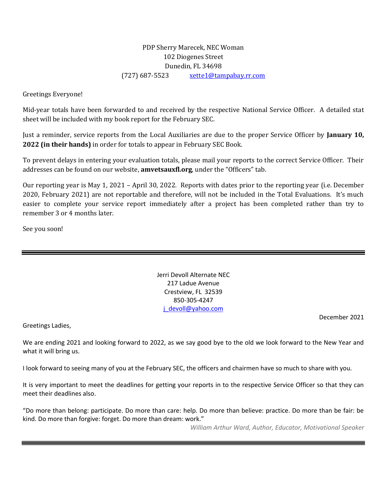## PDP Sherry Marecek, NEC Woman 102 Diogenes Street Dunedin, FL 34698 (727) 687-5523 [xette1@tampabay.rr.com](mailto:xette1@tampabay.rr.com)

Greetings Everyone!

Mid-year totals have been forwarded to and received by the respective National Service Officer. A detailed stat sheet will be included with my book report for the February SEC.

Just a reminder, service reports from the Local Auxiliaries are due to the proper Service Officer by **January 10, 2022 (in their hands)** in order for totals to appear in February SEC Book.

To prevent delays in entering your evaluation totals, please mail your reports to the correct Service Officer. Their addresses can be found on our website, **amvetsauxfl.org**, under the "Officers" tab.

Our reporting year is May 1, 2021 – April 30, 2022. Reports with dates prior to the reporting year (i.e. December 2020, February 2021) are not reportable and therefore, will not be included in the Total Evaluations. It's much easier to complete your service report immediately after a project has been completed rather than try to remember 3 or 4 months later.

See you soon!

Jerri Devoll Alternate NEC 217 Ladue Avenue Crestview, FL 32539 850-305-4247 [j\\_devoll@yahoo.com](mailto:j_devoll@yahoo.com)

Greetings Ladies,

December 2021

We are ending 2021 and looking forward to 2022, as we say good bye to the old we look forward to the New Year and what it will bring us.

I look forward to seeing many of you at the February SEC, the officers and chairmen have so much to share with you.

It is very important to meet the deadlines for getting your reports in to the respective Service Officer so that they can meet their deadlines also.

"Do more than belong: participate. Do more than care: help. Do more than believe: practice. Do more than be fair: be kind. Do more than forgive: forget. Do more than dream: work."

 *William Arthur Ward, Author, Educator, Motivational Speaker*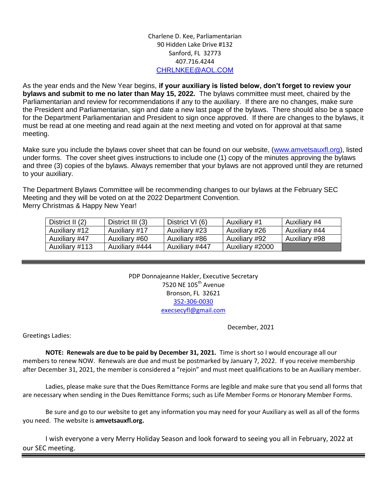## Charlene D. Kee, Parliamentarian 90 Hidden Lake Drive #132 Sanford, FL 32773 407.716.4244 [CHRLNKEE@AOL.COM](mailto:CHRLNKEE@AOL.COM)

As the year ends and the New Year begins, **if your auxiliary is listed below, don't forget to review your bylaws and submit to me no later than May 15, 2022.** The bylaws committee must meet, chaired by the Parliamentarian and review for recommendations if any to the auxiliary. If there are no changes, make sure the President and Parliamentarian, sign and date a new last page of the bylaws. There should also be a space for the Department Parliamentarian and President to sign once approved. If there are changes to the bylaws, it must be read at one meeting and read again at the next meeting and voted on for approval at that same meeting.

Make sure you include the bylaws cover sheet that can be found on our website, [\(www.amvetsauxfl.org\)](http://www.amvetsauxfl.org/), listed under forms. The cover sheet gives instructions to include one (1) copy of the minutes approving the bylaws and three (3) copies of the bylaws. Always remember that your bylaws are not approved until they are returned to your auxiliary.

The Department Bylaws Committee will be recommending changes to our bylaws at the February SEC Meeting and they will be voted on at the 2022 Department Convention. Merry Christmas & Happy New Year!

| District II (2) | District III (3) | District VI (6) | Auxiliary #1    | Auxiliary #4  |
|-----------------|------------------|-----------------|-----------------|---------------|
| Auxiliary #12   | Auxiliary #17    | Auxiliary #23   | Auxiliary #26   | Auxiliary #44 |
| Auxiliary #47   | Auxiliary #60    | Auxiliary #86   | Auxiliary #92   | Auxiliary #98 |
| Auxiliary #113  | Auxiliary #444   | Auxiliary #447  | Auxiliary #2000 |               |

PDP Donnajeanne Hakler, Executive Secretary 7520 NE 105th Avenue Bronson, FL 32621 352-306-0030 execsecyfl@gmail.com

December, 2021

Greetings Ladies:

**NOTE: Renewals are due to be paid by December 31, 2021.** Time is short so I would encourage all our members to renew NOW. Renewals are due and must be postmarked by January 7, 2022. If you receive membership after December 31, 2021, the member is considered a "rejoin" and must meet qualifications to be an Auxiliary member.

 Ladies, please make sure that the Dues Remittance Forms are legible and make sure that you send all forms that are necessary when sending in the Dues Remittance Forms; such as Life Member Forms or Honorary Member Forms.

Be sure and go to our website to get any information you may need for your Auxiliary as well as all of the forms you need. The website is **amvetsauxfl.org.** 

I wish everyone a very Merry Holiday Season and look forward to seeing you all in February, 2022 at our SEC meeting.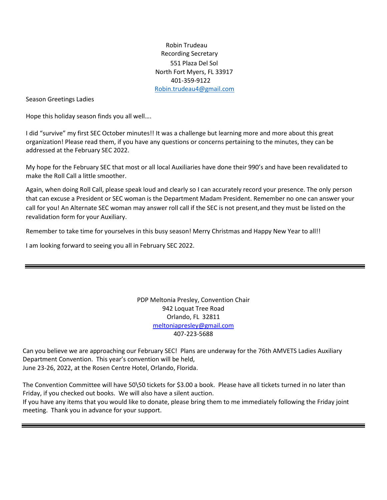Robin Trudeau Recording Secretary 551 Plaza Del Sol North Fort Myers, FL 33917 401-359-9122 [Robin.trudeau4@gmail.com](mailto:Robin.trudeau4@gmail.com)

Season Greetings Ladies

Hope this holiday season finds you all well….

I did "survive" my first SEC October minutes!! It was a challenge but learning more and more about this great organization! Please read them, if you have any questions or concerns pertaining to the minutes, they can be addressed at the February SEC 2022.

My hope for the February SEC that most or all local Auxiliaries have done their 990's and have been revalidated to make the Roll Call a little smoother.

Again, when doing Roll Call, please speak loud and clearly so I can accurately record your presence. The only person that can excuse a President or SEC woman is the Department Madam President. Remember no one can answer your call for you! An Alternate SEC woman may answer roll call if the SEC is not present,and they must be listed on the revalidation form for your Auxiliary.

Remember to take time for yourselves in this busy season! Merry Christmas and Happy New Year to all!!

I am looking forward to seeing you all in February SEC 2022.

PDP Meltonia Presley, Convention Chair 942 Loquat Tree Road Orlando, FL 32811 [meltoniapresley@gmail.com](mailto:meltoniapresley@gmail.com) 407-223-5688

Can you believe we are approaching our February SEC! Plans are underway for the 76th AMVETS Ladies Auxiliary Department Convention. This year's convention will be held, June 23-26, 2022, at the Rosen Centre Hotel, Orlando, Florida.

The Convention Committee will have 50\50 tickets for \$3.00 a book. Please have all tickets turned in no later than Friday, if you checked out books. We will also have a silent auction. If you have any items that you would like to donate, please bring them to me immediately following the Friday joint meeting. Thank you in advance for your support.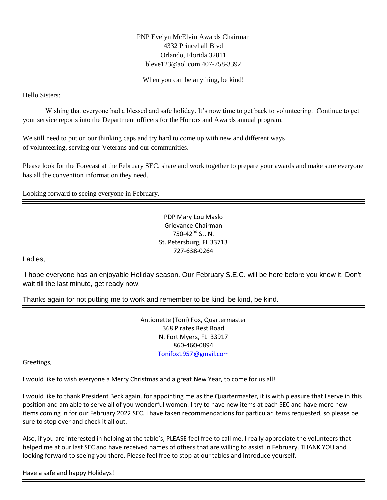## PNP Evelyn McElvin Awards Chairman 4332 Princehall Blvd Orlando, Florida 32811 bleve123@aol.com 407-758-3392

#### When you can be anything, be kind!

Hello Sisters:

Wishing that everyone had a blessed and safe holiday. It's now time to get back to volunteering. Continue to get your service reports into the Department officers for the Honors and Awards annual program.

We still need to put on our thinking caps and try hard to come up with new and different ways of volunteering, serving our Veterans and our communities.

Please look for the Forecast at the February SEC, share and work together to prepare your awards and make sure everyone has all the convention information they need.

Looking forward to seeing everyone in February.

PDP Mary Lou Maslo Grievance Chairman 750-42<sup>nd</sup> St. N. St. Petersburg, FL 33713 727-638-0264

Ladies,

I hope everyone has an enjoyable Holiday season. Our February S.E.C. will be here before you know it. Don't wait till the last minute, get ready now.

Thanks again for not putting me to work and remember to be kind, be kind, be kind.

Antionette (Toni) Fox, Quartermaster 368 Pirates Rest Road N. Fort Myers, FL 33917 860-460-0894 [Tonifox1957@gmail.com](mailto:Tonifox1957@gmail.com)

Greetings,

I would like to wish everyone a Merry Christmas and a great New Year, to come for us all!

I would like to thank President Beck again, for appointing me as the Quartermaster, it is with pleasure that I serve in this position and am able to serve all of you wonderful women. I try to have new items at each SEC and have more new items coming in for our February 2022 SEC. I have taken recommendations for particular items requested, so please be sure to stop over and check it all out.

Also, if you are interested in helping at the table's, PLEASE feel free to call me. I really appreciate the volunteers that helped me at our last SEC and have received names of others that are willing to assist in February, THANK YOU and looking forward to seeing you there. Please feel free to stop at our tables and introduce yourself.

Have a safe and happy Holidays!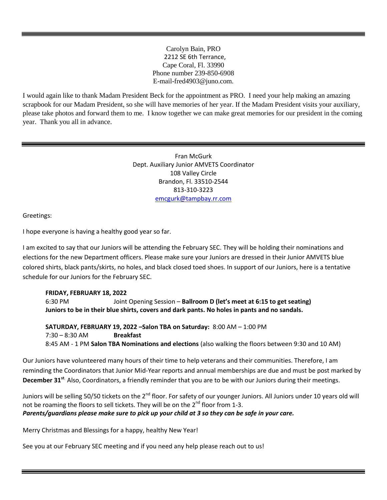Carolyn Bain, PRO 2212 SE 6th Terrance, Cape Coral, Fl. 33990 Phone number 239-850-6908 E-mail-fred4903@juno.com.

I would again like to thank Madam President Beck for the appointment as PRO. I need your help making an amazing scrapbook for our Madam President, so she will have memories of her year. If the Madam President visits your auxiliary, please take photos and forward them to me. I know together we can make great memories for our president in the coming year. Thank you all in advance.

> Fran McGurk Dept. Auxiliary Junior AMVETS Coordinator 108 Valley Circle Brandon, Fl. 33510-2544 813-310-3223 [emcgurk@tampbay.rr.com](mailto:emcgurk@tampbay.rr.com)

Greetings:

I hope everyone is having a healthy good year so far.

I am excited to say that our Juniors will be attending the February SEC. They will be holding their nominations and elections for the new Department officers. Please make sure your Juniors are dressed in their Junior AMVETS blue colored shirts, black pants/skirts, no holes, and black closed toed shoes. In support of our Juniors, here is a tentative schedule for our Juniors for the February SEC.

#### **FRIDAY, FEBRUARY 18, 2022**

6:30 PM Joint Opening Session – **Ballroom D (let's meet at 6:15 to get seating) Juniors to be in their blue shirts, covers and dark pants. No holes in pants and no sandals.**

**SATURDAY, FEBRUARY 19, 2022** *–***Salon TBA on Saturday:** 8:00 AM – 1:00 PM 7:30 – 8:30 AM **Breakfast** 8:45 AM - 1 PM **Salon TBA Nominations and elections** (also walking the floors between 9:30 and 10 AM)

Our Juniors have volunteered many hours of their time to help veterans and their communities. Therefore, I am reminding the Coordinators that Junior Mid-Year reports and annual memberships are due and must be post marked by December 31<sup>st.</sup> Also, Coordinators, a friendly reminder that you are to be with our Juniors during their meetings.

Juniors will be selling 50/50 tickets on the 2<sup>nd</sup> floor. For safety of our younger Juniors. All Juniors under 10 years old will not be roaming the floors to sell tickets. They will be on the  $2^{nd}$  floor from 1-3. *Parents/guardians please make sure to pick up your child at 3 so they can be safe in your care.*

Merry Christmas and Blessings for a happy, healthy New Year!

See you at our February SEC meeting and if you need any help please reach out to us!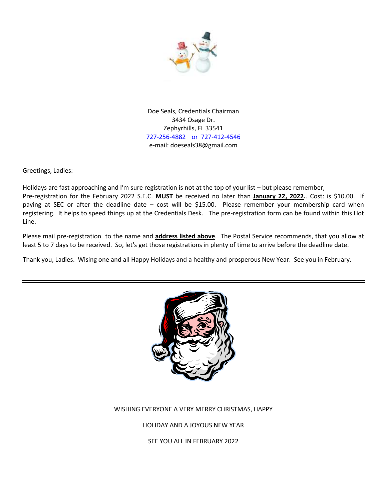

Doe Seals, Credentials Chairman 3434 Osage Dr. Zephyrhills, FL 33541 727-256-4882 or 727-412-4546 e-mail: doeseals38@gmail.com

Greetings, Ladies:

Holidays are fast approaching and I'm sure registration is not at the top of your list – but please remember, Pre-registration for the February 2022 S.E.C. **MUST** be received no later than **January 22, 2022.**. Cost: is \$10.00. If paying at SEC or after the deadline date – cost will be \$15.00. Please remember your membership card when registering. It helps to speed things up at the Credentials Desk. The pre-registration form can be found within this Hot Line.

Please mail pre-registration to the name and **address listed above**. The Postal Service recommends, that you allow at least 5 to 7 days to be received. So, let's get those registrations in plenty of time to arrive before the deadline date.

Thank you, Ladies. Wising one and all Happy Holidays and a healthy and prosperous New Year. See you in February.



#### WISHING EVERYONE A VERY MERRY CHRISTMAS, HAPPY

HOLIDAY AND A JOYOUS NEW YEAR

SEE YOU ALL IN FEBRUARY 2022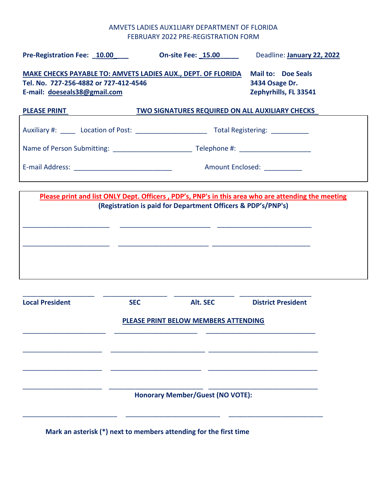## AMVETS LADIES AUX1LIARY DEPARTMENT OF FLORIDA FEBRUARY 2022 PRE-REGISTRATION FORM

| Pre-Registration Fee: 10.00                                                                                                           |                                                                      | On-site Fee: 15.00                                           | Deadline: January 22, 2022                                                                         |  |
|---------------------------------------------------------------------------------------------------------------------------------------|----------------------------------------------------------------------|--------------------------------------------------------------|----------------------------------------------------------------------------------------------------|--|
| MAKE CHECKS PAYABLE TO: AMVETS LADIES AUX., DEPT. OF FLORIDA<br>Tel. No. 727-256-4882 or 727-412-4546<br>E-mail: doeseals38@gmail.com | <b>Mail to: Doe Seals</b><br>3434 Osage Dr.<br>Zephyrhills, FL 33541 |                                                              |                                                                                                    |  |
| <b>PLEASE PRINT</b>                                                                                                                   |                                                                      | <b>TWO SIGNATURES REQUIRED ON ALL AUXILIARY CHECKS</b>       |                                                                                                    |  |
|                                                                                                                                       |                                                                      |                                                              |                                                                                                    |  |
|                                                                                                                                       |                                                                      |                                                              |                                                                                                    |  |
|                                                                                                                                       |                                                                      |                                                              | Amount Enclosed: __________                                                                        |  |
|                                                                                                                                       |                                                                      | (Registration is paid for Department Officers & PDP's/PNP's) | Please print and list ONLY Dept. Officers, PDP's, PNP's in this area who are attending the meeting |  |
| <b>Local President</b>                                                                                                                | <b>SEC</b>                                                           | Alt. SEC<br>PLEASE PRINT BELOW MEMBERS ATTENDING             | <b>District President</b>                                                                          |  |
|                                                                                                                                       |                                                                      | <b>Honorary Member/Guest (NO VOTE):</b>                      |                                                                                                    |  |

**Mark an asterisk (\*) next to members attending for the first time**